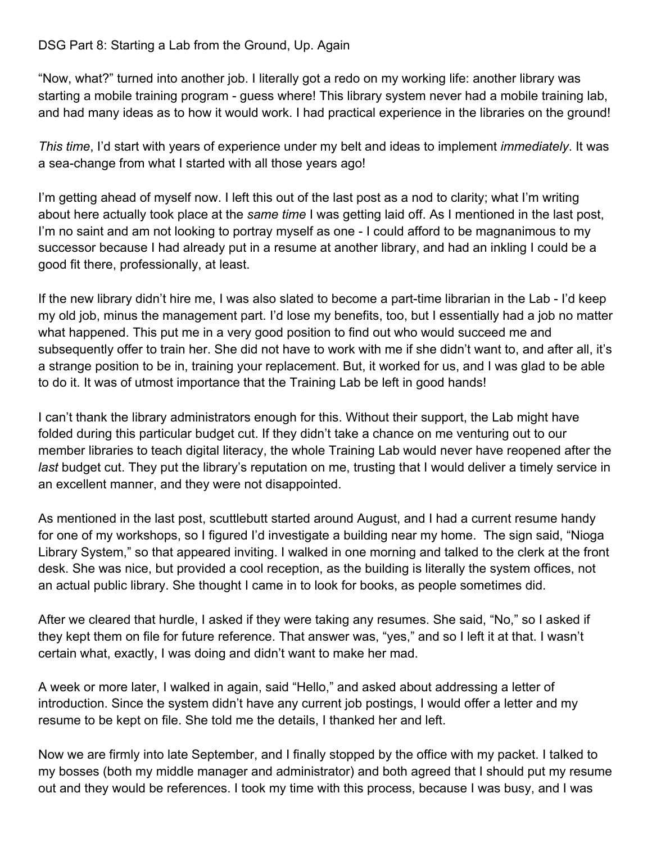## DSG Part 8: Starting a Lab from the Ground, Up. Again

"Now, what?" turned into another job. I literally got a redo on my working life: another library was starting a mobile training program - guess where! This library system never had a mobile training lab, and had many ideas as to how it would work. I had practical experience in the libraries on the ground!

*This time*, I'd start with years of experience under my belt and ideas to implement *immediately*. It was a sea-change from what I started with all those years ago!

I'm getting ahead of myself now. I left this out of the last post as a nod to clarity; what I'm writing about here actually took place at the *same time* I was getting laid off. As I mentioned in the last post, I'm no saint and am not looking to portray myself as one - I could afford to be magnanimous to my successor because I had already put in a resume at another library, and had an inkling I could be a good fit there, professionally, at least.

If the new library didn't hire me, I was also slated to become a part-time librarian in the Lab - I'd keep my old job, minus the management part. I'd lose my benefits, too, but I essentially had a job no matter what happened. This put me in a very good position to find out who would succeed me and subsequently offer to train her. She did not have to work with me if she didn't want to, and after all, it's a strange position to be in, training your replacement. But, it worked for us, and I was glad to be able to do it. It was of utmost importance that the Training Lab be left in good hands!

I can't thank the library administrators enough for this. Without their support, the Lab might have folded during this particular budget cut. If they didn't take a chance on me venturing out to our member libraries to teach digital literacy, the whole Training Lab would never have reopened after the *last* budget cut. They put the library's reputation on me, trusting that I would deliver a timely service in an excellent manner, and they were not disappointed.

As mentioned in the last post, scuttlebutt started around August, and I had a current resume handy for one of my workshops, so I figured I'd investigate a building near my home. The sign said, "Nioga Library System," so that appeared inviting. I walked in one morning and talked to the clerk at the front desk. She was nice, but provided a cool reception, as the building is literally the system offices, not an actual public library. She thought I came in to look for books, as people sometimes did.

After we cleared that hurdle, I asked if they were taking any resumes. She said, "No," so I asked if they kept them on file for future reference. That answer was, "yes," and so I left it at that. I wasn't certain what, exactly, I was doing and didn't want to make her mad.

A week or more later, I walked in again, said "Hello," and asked about addressing a letter of introduction. Since the system didn't have any current job postings, I would offer a letter and my resume to be kept on file. She told me the details, I thanked her and left.

Now we are firmly into late September, and I finally stopped by the office with my packet. I talked to my bosses (both my middle manager and administrator) and both agreed that I should put my resume out and they would be references. I took my time with this process, because I was busy, and I was